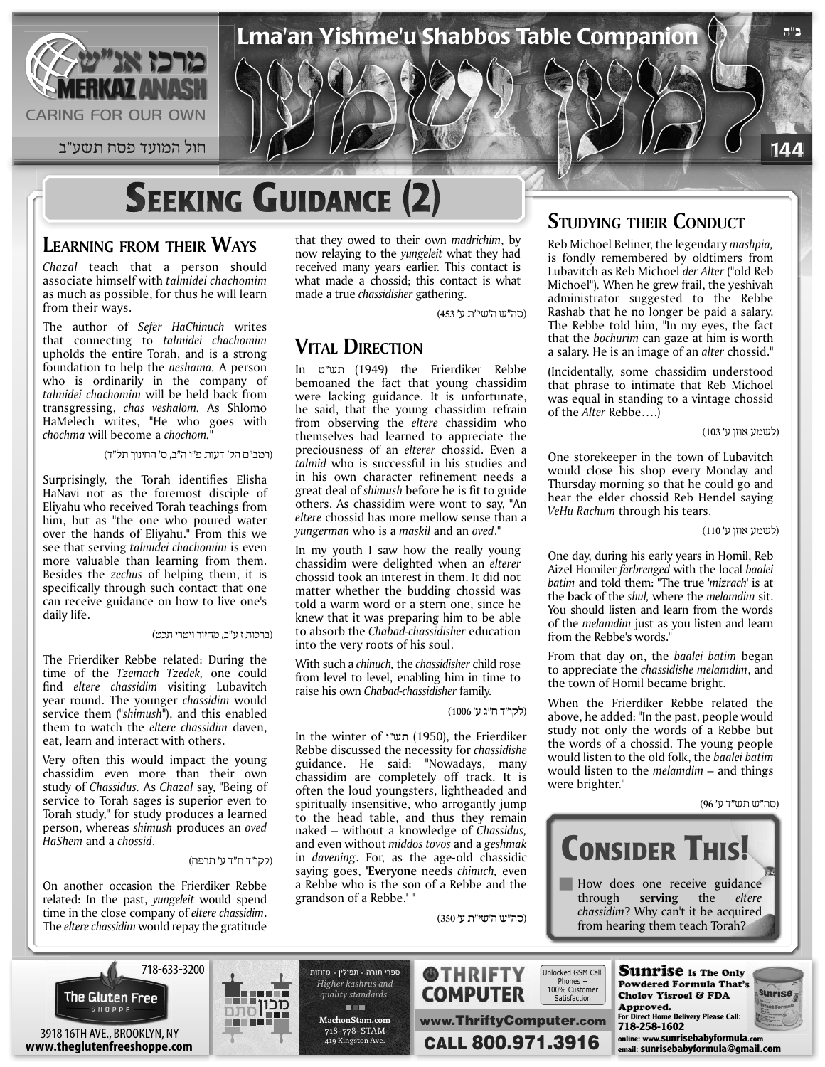

 $\sim$  144  $\sim$  1 $\sim$  1 $\sim$  1 $\sim$  1 $\sim$  1 $\sim$  1 $\sim$  1 $\sim$  1 $\sim$  1 $\sim$  1 $\sim$  1 $\sim$  1 $\sim$  1 $\sim$  1 $\sim$  1 $\sim$  1 $\sim$  1 $\sim$  1 $\sim$  1 $\sim$  1 $\sim$  1 $\sim$  1 $\sim$  1 $\sim$  1 $\sim$  1 $\sim$  1 $\sim$  1 $\sim$  1 $\sim$  1 $\sim$  1 $\sim$  1 $\sim$  1 $\sim$  1 $\sim$  1 $\sim$  1

# **SEEKING GUIDANCE (2)**

#### **LEARNING FROM THEIR WAYS**

*Chazal* teach that a person should associate himself with *talmidei chachomim* as much as possible, for thus he will learn from their ways.

The author of *Sefer HaChinuch* writes that connecting to *talmidei chachomim* upholds the entire Torah, and is a strong foundation to help the *neshama.* A person who is ordinarily in the company of *talmidei chachomim* will be held back from transgressing, *chas veshalom.* As Shlomo HaMelech writes, "He who goes with *chochma* will become a *chochom*.

(רמב"ם הל' דעות פ"ו ה"ב, ס' החינוך תל"ד)

Surprisingly, the Torah identifies Elisha HaNavi not as the foremost disciple of Eliyahu who received Torah teachings from him, but as "the one who poured water over the hands of Eliyahu." From this we see that serving *talmidei chachomim* is even more valuable than learning from them. Besides the *zechus* of helping them, it is specifically through such contact that one can receive guidance on how to live one's daily life.

#### (ברכות ז ע"ב, מחזור ויטרי תכט)

The Frierdiker Rebbe related: During the time of the *Tzemach Tzedek,* one could find eltere chassidim visiting Lubavitch year round. The younger *chassidim* would service them (*"shimush"*), and this enabled them to watch the *eltere chassidim* daven, eat, learn and interact with others.

Very often this would impact the young chassidim even more than their own study of *Chassidus.* As *Chazal* say, "Being of service to Torah sages is superior even to Torah study," for study produces a learned person, whereas *shimush* produces an *oved HaShem* and a *chossid*.

#### (לקו"ד ח"ד ע' תרפח)

On another occasion the Frierdiker Rebbe related: In the past, *yungeleit* would spend time in the close company of *eltere chassidim*. The *eltere chassidim* would repay the gratitude

that they owed to their own *madrichim*, by now relaying to the *yungeleit* what they had received many years earlier. This contact is what made a chossid; this contact is what made a true *chassidisher* gathering.

(סה"ש ה'שי"ת ע' 453)

Lma'an Yishme'u Shabbos Table Companion **ה"ב**

#### **VITAL DIRECTION**

In ט"תש) 1949 (the Frierdiker Rebbe bemoaned the fact that young chassidim were lacking guidance. It is unfortunate, he said, that the young chassidim refrain from observing the *eltere* chassidim who themselves had learned to appreciate the preciousness of an *elterer* chossid. Even a *talmid* who is successful in his studies and in his own character refinement needs a great deal of *shimush* before he is fit to guide others. As chassidim were wont to say, "An *eltere* chossid has more mellow sense than a *yungerman* who is a *maskil* and an *oved*."

In my youth I saw how the really young chassidim were delighted when an *elterer* chossid took an interest in them. It did not matter whether the budding chossid was told a warm word or a stern one, since he knew that it was preparing him to be able to absorb the *Chabad-chassidisher* education into the very roots of his soul.

With such a *chinuch,* the *chassidisher* child rose from level to level, enabling him in time to raise his own *Chabad-chassidisher* family.

(לקו"ד ח"ג ע' 1006)

In the winter of י"תש) 1950(, the Frierdiker Rebbe discussed the necessity for *chassidishe* guidance. He said: "Nowadays, many chassidim are completely off track. It is often the loud youngsters, lightheaded and spiritually insensitive, who arrogantly jump to the head table, and thus they remain naked – without a knowledge of *Chassidus,* and even without *middos tovos* and a *geshmak* in *davening*. For, as the age-old chassidic saying goes, **'Everyone** needs *chinuch,* even a Rebbe who is the son of a Rebbe and the grandson of a Rebbe.' "

(סה"ש ה'שי"ת ע' 350)

#### **STUDYING THEIR CONDUCT**

Reb Michoel Beliner, the legendary *mashpia,* is fondly remembered by oldtimers from Lubavitch as Reb Michoel *der Alter* ("old Reb Michoel")*.* When he grew frail, the yeshivah administrator suggested to the Rebbe Rashab that he no longer be paid a salary. The Rebbe told him, "In my eyes, the fact that the *bochurim* can gaze at him is worth a salary. He is an image of an *alter* chossid."

(Incidentally, some chassidim understood that phrase to intimate that Reb Michoel was equal in standing to a vintage chossid of the *Alter* Rebbe….)

(לשמע אוזן ע' 103)

One storekeeper in the town of Lubavitch would close his shop every Monday and Thursday morning so that he could go and hear the elder chossid Reb Hendel saying *VeHu Rachum* through his tears.

(לשמע אוזן ע' 110)

One day, during his early years in Homil, Reb Aizel Homiler *farbrenged* with the local *baalei batim* and told them: "The true *'mizrach'* is at the **back** of the *shul,* where the *melamdim* sit. You should listen and learn from the words of the *melamdim* just as you listen and learn from the Rebbe's words."

From that day on, the *baalei batim* began to appreciate the *chassidishe melamdim*, and the town of Homil became bright.

When the Frierdiker Rebbe related the above, he added: "In the past, people would study not only the words of a Rebbe but the words of a chossid. The young people would listen to the old folk, the *baalei batim* would listen to the *melamdim* – and things were brighter."

(סה"ש תש"ד ע' 96)